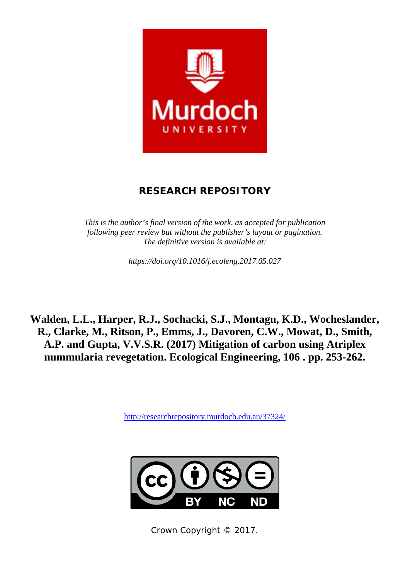

# **RESEARCH REPOSITORY**

*This is the author's final version of the work, as accepted for publication following peer review but without the publisher's layout or pagination. The definitive version is available at:* 

*https://doi.org/10.1016/j.ecoleng.2017.05.027* 

**Walden, L.L., Harper, R.J., Sochacki, S.J., Montagu, K.D., Wocheslander, R., Clarke, M., Ritson, P., Emms, J., Davoren, C.W., Mowat, D., Smith, A.P. and Gupta, V.V.S.R. (2017) Mitigation of carbon using Atriplex nummularia revegetation. Ecological Engineering, 106 . pp. 253-262.** 

http://researchrepository.murdoch.edu.au/37324/



Crown Copyright © 2017.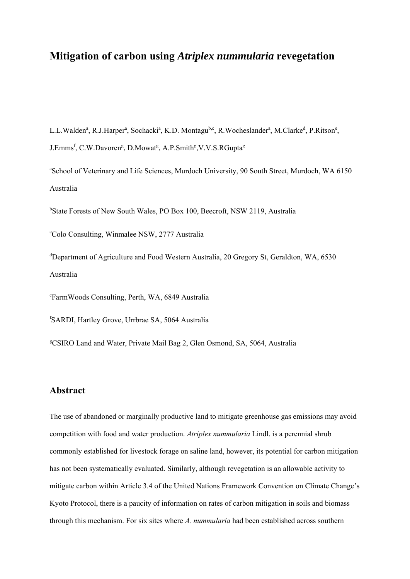# **Mitigation of carbon using** *Atriplex nummularia* **revegetation**

L.L.Walden<sup>a</sup>, R.J.Harper<sup>a</sup>, Sochacki<sup>a</sup>, K.D. Montagu<sup>b,c</sup>, R.Wocheslander<sup>a</sup>, M.Clarke<sup>d</sup>, P.Ritson<sup>e</sup>, J.Emms<sup>f</sup>, C.W.Davoren<sup>g</sup>, D.Mowat<sup>g</sup>, A.P.Smith<sup>g</sup>, V.V.S.RGupta<sup>g</sup>

<sup>a</sup>School of Veterinary and Life Sciences, Murdoch University, 90 South Street, Murdoch, WA 6150 Australia

<sup>b</sup>State Forests of New South Wales, PO Box 100, Beecroft, NSW 2119, Australia

c Colo Consulting, Winmalee NSW, 2777 Australia

d Department of Agriculture and Food Western Australia, 20 Gregory St, Geraldton, WA, 6530 Australia

e FarmWoods Consulting, Perth, WA, 6849 Australia

f SARDI, Hartley Grove, Urrbrae SA, 5064 Australia

g CSIRO Land and Water, Private Mail Bag 2, Glen Osmond, SA, 5064, Australia

# **Abstract**

The use of abandoned or marginally productive land to mitigate greenhouse gas emissions may avoid competition with food and water production. *Atriplex nummularia* Lindl. is a perennial shrub commonly established for livestock forage on saline land, however, its potential for carbon mitigation has not been systematically evaluated. Similarly, although revegetation is an allowable activity to mitigate carbon within Article 3.4 of the United Nations Framework Convention on Climate Change's Kyoto Protocol, there is a paucity of information on rates of carbon mitigation in soils and biomass through this mechanism. For six sites where *A. nummularia* had been established across southern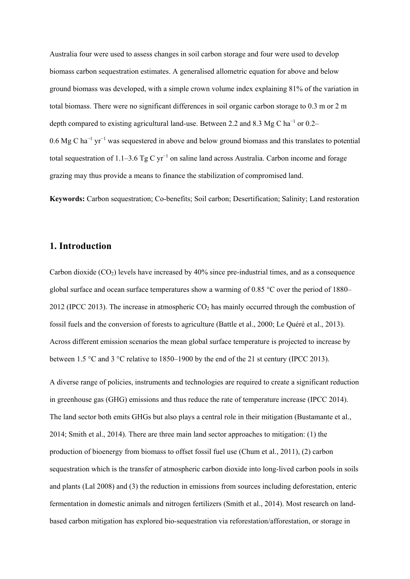Australia four were used to assess changes in soil carbon storage and four were used to develop biomass carbon sequestration estimates. A generalised allometric equation for above and below ground biomass was developed, with a simple crown volume index explaining 81% of the variation in total biomass. There were no significant differences in soil organic carbon storage to 0.3 m or 2 m depth compared to existing agricultural land-use. Between 2.2 and 8.3 Mg C ha<sup>-1</sup> or 0.2– 0.6 Mg C ha<sup>-1</sup> yr<sup>-1</sup> was sequestered in above and below ground biomass and this translates to potential total sequestration of 1.1–3.6 Tg C yr<sup>-1</sup> on saline land across Australia. Carbon income and forage grazing may thus provide a means to finance the stabilization of compromised land.

**Keywords:** Carbon sequestration; Co-benefits; Soil carbon; Desertification; Salinity; Land restoration

# **1. Introduction**

Carbon dioxide  $(CO<sub>2</sub>)$  levels have increased by 40% since pre-industrial times, and as a consequence global surface and ocean surface temperatures show a warming of 0.85 °C over the period of 1880– 2012 (IPCC 2013). The increase in atmospheric  $CO<sub>2</sub>$  has mainly occurred through the combustion of fossil fuels and the conversion of forests to agriculture (Battle et al., 2000; Le Quéré et al., 2013). Across different emission scenarios the mean global surface temperature is projected to increase by between 1.5 °C and 3 °C relative to 1850–1900 by the end of the 21 st century (IPCC 2013).

A diverse range of policies, instruments and technologies are required to create a significant reduction in greenhouse gas (GHG) emissions and thus reduce the rate of temperature increase (IPCC 2014). The land sector both emits GHGs but also plays a central role in their mitigation (Bustamante et al., 2014; Smith et al., 2014). There are three main land sector approaches to mitigation: (1) the production of bioenergy from biomass to offset fossil fuel use (Chum et al., 2011), (2) carbon sequestration which is the transfer of atmospheric carbon dioxide into long-lived carbon pools in soils and plants (Lal 2008) and (3) the reduction in emissions from sources including deforestation, enteric fermentation in domestic animals and nitrogen fertilizers (Smith et al., 2014). Most research on landbased carbon mitigation has explored bio-sequestration via reforestation/afforestation, or storage in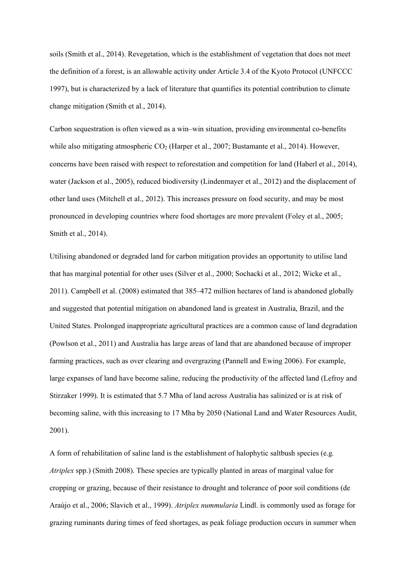soils (Smith et al., 2014). Revegetation, which is the establishment of vegetation that does not meet the definition of a forest, is an allowable activity under Article 3.4 of the Kyoto Protocol (UNFCCC 1997), but is characterized by a lack of literature that quantifies its potential contribution to climate change mitigation (Smith et al., 2014).

Carbon sequestration is often viewed as a win–win situation, providing environmental co-benefits while also mitigating atmospheric  $CO<sub>2</sub>$  (Harper et al., 2007; Bustamante et al., 2014). However, concerns have been raised with respect to reforestation and competition for land (Haberl et al., 2014), water (Jackson et al., 2005), reduced biodiversity (Lindenmayer et al., 2012) and the displacement of other land uses (Mitchell et al., 2012). This increases pressure on food security, and may be most pronounced in developing countries where food shortages are more prevalent (Foley et al., 2005; Smith et al., 2014).

Utilising abandoned or degraded land for carbon mitigation provides an opportunity to utilise land that has marginal potential for other uses (Silver et al., 2000; Sochacki et al., 2012; Wicke et al., 2011). Campbell et al. (2008) estimated that 385–472 million hectares of land is abandoned globally and suggested that potential mitigation on abandoned land is greatest in Australia, Brazil, and the United States. Prolonged inappropriate agricultural practices are a common cause of land degradation (Powlson et al., 2011) and Australia has large areas of land that are abandoned because of improper farming practices, such as over clearing and overgrazing (Pannell and Ewing 2006). For example, large expanses of land have become saline, reducing the productivity of the affected land (Lefroy and Stirzaker 1999). It is estimated that 5.7 Mha of land across Australia has salinized or is at risk of becoming saline, with this increasing to 17 Mha by 2050 (National Land and Water Resources Audit, 2001).

A form of rehabilitation of saline land is the establishment of halophytic saltbush species (e.g*. Atriplex* spp.) (Smith 2008). These species are typically planted in areas of marginal value for cropping or grazing, because of their resistance to drought and tolerance of poor soil conditions (de Araújo et al., 2006; Slavich et al., 1999). *Atriplex nummularia* Lindl. is commonly used as forage for grazing ruminants during times of feed shortages, as peak foliage production occurs in summer when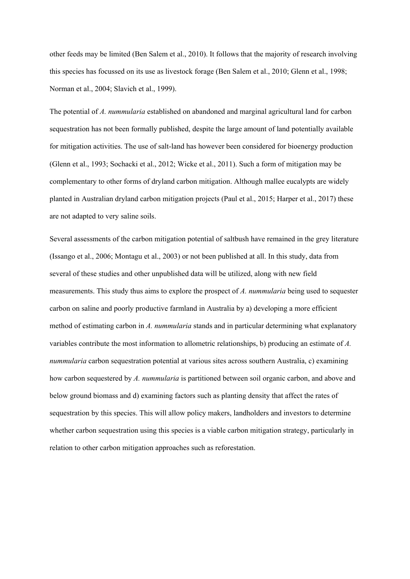other feeds may be limited (Ben Salem et al., 2010). It follows that the majority of research involving this species has focussed on its use as livestock forage (Ben Salem et al., 2010; Glenn et al., 1998; Norman et al., 2004; Slavich et al., 1999).

The potential of *A. nummularia* established on abandoned and marginal agricultural land for carbon sequestration has not been formally published, despite the large amount of land potentially available for mitigation activities. The use of salt-land has however been considered for bioenergy production (Glenn et al., 1993; Sochacki et al., 2012; Wicke et al., 2011). Such a form of mitigation may be complementary to other forms of dryland carbon mitigation. Although mallee eucalypts are widely planted in Australian dryland carbon mitigation projects (Paul et al., 2015; Harper et al., 2017) these are not adapted to very saline soils.

Several assessments of the carbon mitigation potential of saltbush have remained in the grey literature (Issango et al., 2006; Montagu et al., 2003) or not been published at all. In this study, data from several of these studies and other unpublished data will be utilized, along with new field measurements. This study thus aims to explore the prospect of *A. nummularia* being used to sequester carbon on saline and poorly productive farmland in Australia by a) developing a more efficient method of estimating carbon in *A. nummularia* stands and in particular determining what explanatory variables contribute the most information to allometric relationships, b) producing an estimate of *A. nummularia* carbon sequestration potential at various sites across southern Australia, c) examining how carbon sequestered by *A. nummularia* is partitioned between soil organic carbon, and above and below ground biomass and d) examining factors such as planting density that affect the rates of sequestration by this species. This will allow policy makers, landholders and investors to determine whether carbon sequestration using this species is a viable carbon mitigation strategy, particularly in relation to other carbon mitigation approaches such as reforestation.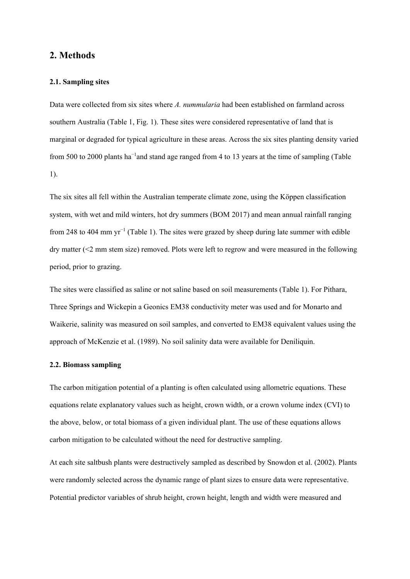# **2. Methods**

### **2.1. Sampling sites**

Data were collected from six sites where *A. nummularia* had been established on farmland across southern Australia (Table 1, Fig. 1). These sites were considered representative of land that is marginal or degraded for typical agriculture in these areas. Across the six sites planting density varied from 500 to 2000 plants ha<sup>-1</sup> and stand age ranged from 4 to 13 years at the time of sampling (Table 1).

The six sites all fell within the Australian temperate climate zone, using the Köppen classification system, with wet and mild winters, hot dry summers (BOM 2017) and mean annual rainfall ranging from 248 to 404 mm yr<sup>-1</sup> (Table 1). The sites were grazed by sheep during late summer with edible dry matter (<2 mm stem size) removed. Plots were left to regrow and were measured in the following period, prior to grazing.

The sites were classified as saline or not saline based on soil measurements (Table 1). For Pithara, Three Springs and Wickepin a Geonics EM38 conductivity meter was used and for Monarto and Waikerie, salinity was measured on soil samples, and converted to EM38 equivalent values using the approach of McKenzie et al. (1989). No soil salinity data were available for Deniliquin.

# **2.2. Biomass sampling**

The carbon mitigation potential of a planting is often calculated using allometric equations. These equations relate explanatory values such as height, crown width, or a crown volume index (CVI) to the above, below, or total biomass of a given individual plant. The use of these equations allows carbon mitigation to be calculated without the need for destructive sampling.

At each site saltbush plants were destructively sampled as described by Snowdon et al. (2002). Plants were randomly selected across the dynamic range of plant sizes to ensure data were representative. Potential predictor variables of shrub height, crown height, length and width were measured and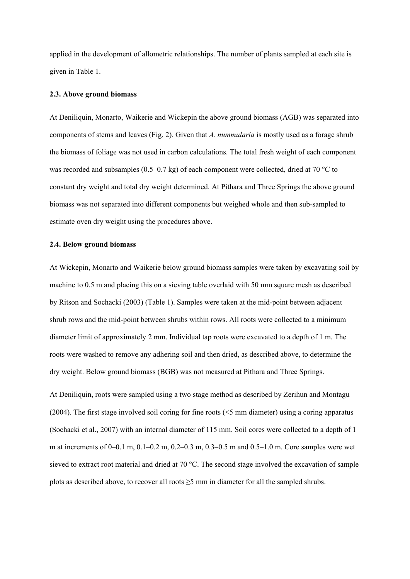applied in the development of allometric relationships. The number of plants sampled at each site is given in Table 1.

### **2.3. Above ground biomass**

At Deniliquin, Monarto, Waikerie and Wickepin the above ground biomass (AGB) was separated into components of stems and leaves (Fig. 2). Given that *A. nummularia* is mostly used as a forage shrub the biomass of foliage was not used in carbon calculations. The total fresh weight of each component was recorded and subsamples (0.5–0.7 kg) of each component were collected, dried at 70 °C to constant dry weight and total dry weight determined. At Pithara and Three Springs the above ground biomass was not separated into different components but weighed whole and then sub-sampled to estimate oven dry weight using the procedures above.

### **2.4. Below ground biomass**

At Wickepin, Monarto and Waikerie below ground biomass samples were taken by excavating soil by machine to 0.5 m and placing this on a sieving table overlaid with 50 mm square mesh as described by Ritson and Sochacki (2003) (Table 1). Samples were taken at the mid-point between adjacent shrub rows and the mid-point between shrubs within rows. All roots were collected to a minimum diameter limit of approximately 2 mm. Individual tap roots were excavated to a depth of 1 m. The roots were washed to remove any adhering soil and then dried, as described above, to determine the dry weight. Below ground biomass (BGB) was not measured at Pithara and Three Springs.

At Deniliquin, roots were sampled using a two stage method as described by Zerihun and Montagu (2004). The first stage involved soil coring for fine roots (<5 mm diameter) using a coring apparatus (Sochacki et al., 2007) with an internal diameter of 115 mm. Soil cores were collected to a depth of 1 m at increments of 0–0.1 m, 0.1–0.2 m, 0.2–0.3 m, 0.3–0.5 m and 0.5–1.0 m. Core samples were wet sieved to extract root material and dried at 70 °C. The second stage involved the excavation of sample plots as described above, to recover all roots  $\geq$ 5 mm in diameter for all the sampled shrubs.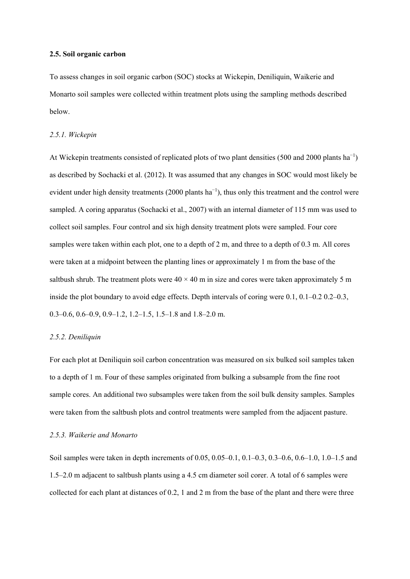### **2.5. Soil organic carbon**

To assess changes in soil organic carbon (SOC) stocks at Wickepin, Deniliquin, Waikerie and Monarto soil samples were collected within treatment plots using the sampling methods described below.

### *2.5.1. Wickepin*

At Wickepin treatments consisted of replicated plots of two plant densities (500 and 2000 plants  $ha^{-1}$ ) as described by Sochacki et al. (2012). It was assumed that any changes in SOC would most likely be evident under high density treatments (2000 plants ha<sup>-1</sup>), thus only this treatment and the control were sampled. A coring apparatus (Sochacki et al., 2007) with an internal diameter of 115 mm was used to collect soil samples. Four control and six high density treatment plots were sampled. Four core samples were taken within each plot, one to a depth of 2 m, and three to a depth of 0.3 m. All cores were taken at a midpoint between the planting lines or approximately 1 m from the base of the saltbush shrub. The treatment plots were  $40 \times 40$  m in size and cores were taken approximately 5 m inside the plot boundary to avoid edge effects. Depth intervals of coring were 0.1, 0.1–0.2 0.2–0.3, 0.3–0.6, 0.6–0.9, 0.9–1.2, 1.2–1.5, 1.5–1.8 and 1.8–2.0 m.

### *2.5.2. Deniliquin*

For each plot at Deniliquin soil carbon concentration was measured on six bulked soil samples taken to a depth of 1 m. Four of these samples originated from bulking a subsample from the fine root sample cores. An additional two subsamples were taken from the soil bulk density samples. Samples were taken from the saltbush plots and control treatments were sampled from the adjacent pasture.

# *2.5.3. Waikerie and Monarto*

Soil samples were taken in depth increments of 0.05, 0.05–0.1, 0.1–0.3, 0.3–0.6, 0.6–1.0, 1.0–1.5 and 1.5–2.0 m adjacent to saltbush plants using a 4.5 cm diameter soil corer. A total of 6 samples were collected for each plant at distances of 0.2, 1 and 2 m from the base of the plant and there were three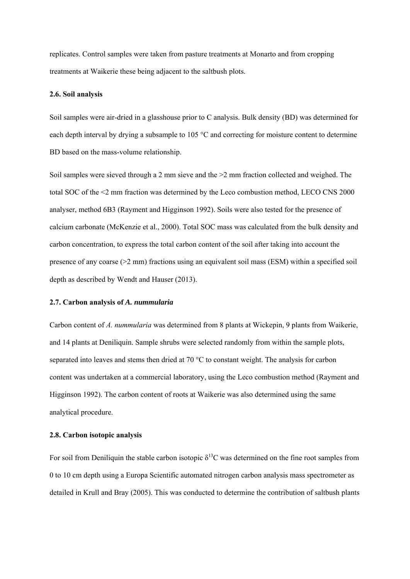replicates. Control samples were taken from pasture treatments at Monarto and from cropping treatments at Waikerie these being adjacent to the saltbush plots.

### **2.6. Soil analysis**

Soil samples were air-dried in a glasshouse prior to C analysis. Bulk density (BD) was determined for each depth interval by drying a subsample to 105 °C and correcting for moisture content to determine BD based on the mass-volume relationship.

Soil samples were sieved through a 2 mm sieve and the  $>$ 2 mm fraction collected and weighed. The total SOC of the <2 mm fraction was determined by the Leco combustion method, LECO CNS 2000 analyser, method 6B3 (Rayment and Higginson 1992). Soils were also tested for the presence of calcium carbonate (McKenzie et al., 2000). Total SOC mass was calculated from the bulk density and carbon concentration, to express the total carbon content of the soil after taking into account the presence of any coarse  $(22 \text{ mm})$  fractions using an equivalent soil mass (ESM) within a specified soil depth as described by Wendt and Hauser (2013).

#### **2.7. Carbon analysis of** *A. nummularia*

Carbon content of *A. nummularia* was determined from 8 plants at Wickepin, 9 plants from Waikerie, and 14 plants at Deniliquin. Sample shrubs were selected randomly from within the sample plots, separated into leaves and stems then dried at 70 °C to constant weight. The analysis for carbon content was undertaken at a commercial laboratory, using the Leco combustion method (Rayment and Higginson 1992). The carbon content of roots at Waikerie was also determined using the same analytical procedure.

# **2.8. Carbon isotopic analysis**

For soil from Deniliquin the stable carbon isotopic  $\delta^{13}$ C was determined on the fine root samples from 0 to 10 cm depth using a Europa Scientific automated nitrogen carbon analysis mass spectrometer as detailed in Krull and Bray (2005). This was conducted to determine the contribution of saltbush plants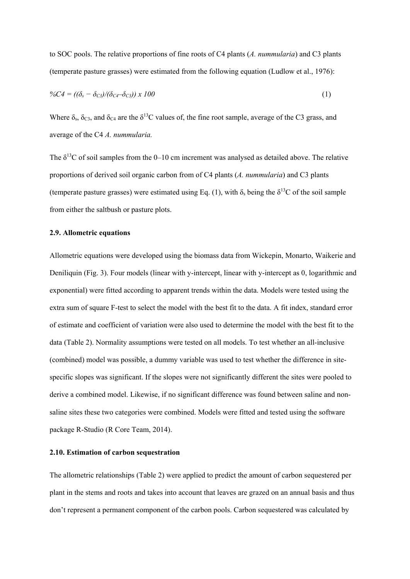to SOC pools. The relative proportions of fine roots of C4 plants (*A. nummularia*) and C3 plants (temperate pasture grasses) were estimated from the following equation (Ludlow et al., 1976):

$$
\%C4 = ((\delta_s - \delta_{C3})/(\delta_{C4} - \delta_{C3})) \times 100 \tag{1}
$$

Where  $\delta_s$ ,  $\delta_{C3}$ , and  $\delta_{C4}$  are the  $\delta^{13}$ C values of, the fine root sample, average of the C3 grass, and average of the C4 *A. nummularia.*

The  $\delta^{13}$ C of soil samples from the 0–10 cm increment was analysed as detailed above. The relative proportions of derived soil organic carbon from of C4 plants (*A. nummularia*) and C3 plants (temperate pasture grasses) were estimated using Eq. (1), with  $\delta_s$  being the  $\delta^{13}C$  of the soil sample from either the saltbush or pasture plots.

# **2.9. Allometric equations**

Allometric equations were developed using the biomass data from Wickepin, Monarto, Waikerie and Deniliquin (Fig. 3). Four models (linear with y-intercept, linear with y-intercept as 0, logarithmic and exponential) were fitted according to apparent trends within the data. Models were tested using the extra sum of square F-test to select the model with the best fit to the data. A fit index, standard error of estimate and coefficient of variation were also used to determine the model with the best fit to the data (Table 2). Normality assumptions were tested on all models. To test whether an all-inclusive (combined) model was possible, a dummy variable was used to test whether the difference in sitespecific slopes was significant. If the slopes were not significantly different the sites were pooled to derive a combined model. Likewise, if no significant difference was found between saline and nonsaline sites these two categories were combined. Models were fitted and tested using the software package R-Studio (R Core Team, 2014).

### **2.10. Estimation of carbon sequestration**

The allometric relationships (Table 2) were applied to predict the amount of carbon sequestered per plant in the stems and roots and takes into account that leaves are grazed on an annual basis and thus don't represent a permanent component of the carbon pools. Carbon sequestered was calculated by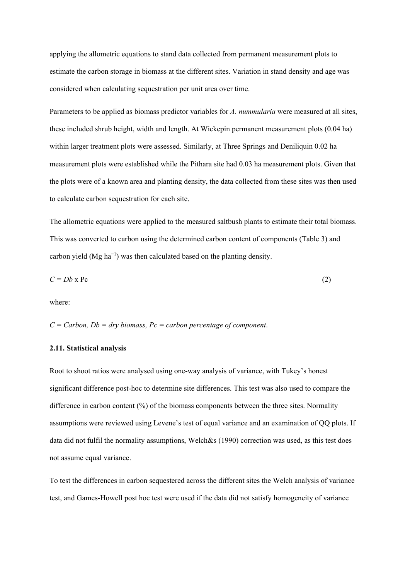applying the allometric equations to stand data collected from permanent measurement plots to estimate the carbon storage in biomass at the different sites. Variation in stand density and age was considered when calculating sequestration per unit area over time.

Parameters to be applied as biomass predictor variables for *A. nummularia* were measured at all sites, these included shrub height, width and length. At Wickepin permanent measurement plots (0.04 ha) within larger treatment plots were assessed. Similarly, at Three Springs and Deniliquin 0.02 ha measurement plots were established while the Pithara site had 0.03 ha measurement plots. Given that the plots were of a known area and planting density, the data collected from these sites was then used to calculate carbon sequestration for each site.

The allometric equations were applied to the measured saltbush plants to estimate their total biomass. This was converted to carbon using the determined carbon content of components (Table 3) and carbon yield (Mg ha<sup>-1</sup>) was then calculated based on the planting density.

$$
C = Db \times Pc \tag{2}
$$

where:

*C = Carbon, Db = dry biomass, Pc = carbon percentage of component*.

### **2.11. Statistical analysis**

Root to shoot ratios were analysed using one-way analysis of variance, with Tukey's honest significant difference post-hoc to determine site differences. This test was also used to compare the difference in carbon content (%) of the biomass components between the three sites. Normality assumptions were reviewed using Levene's test of equal variance and an examination of QQ plots. If data did not fulfil the normality assumptions, Welch&s (1990) correction was used, as this test does not assume equal variance.

To test the differences in carbon sequestered across the different sites the Welch analysis of variance test, and Games-Howell post hoc test were used if the data did not satisfy homogeneity of variance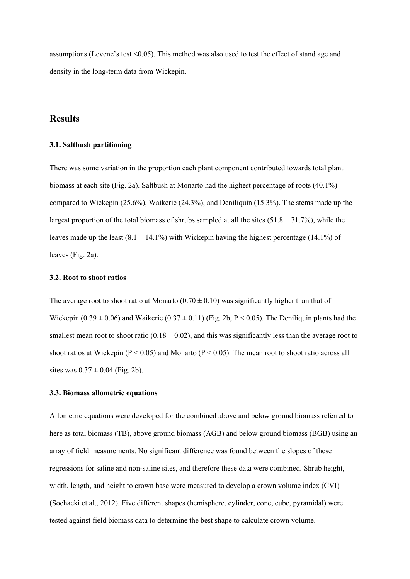assumptions (Levene's test <0.05). This method was also used to test the effect of stand age and density in the long-term data from Wickepin.

# **Results**

### **3.1. Saltbush partitioning**

There was some variation in the proportion each plant component contributed towards total plant biomass at each site (Fig. 2a). Saltbush at Monarto had the highest percentage of roots (40.1%) compared to Wickepin (25.6%), Waikerie (24.3%), and Deniliquin (15.3%). The stems made up the largest proportion of the total biomass of shrubs sampled at all the sites  $(51.8 - 71.7%)$ , while the leaves made up the least  $(8.1 - 14.1\%)$  with Wickepin having the highest percentage  $(14.1\%)$  of leaves (Fig. 2a).

### **3.2. Root to shoot ratios**

The average root to shoot ratio at Monarto  $(0.70 \pm 0.10)$  was significantly higher than that of Wickepin (0.39  $\pm$  0.06) and Waikerie (0.37  $\pm$  0.11) (Fig. 2b, P < 0.05). The Deniliquin plants had the smallest mean root to shoot ratio (0.18  $\pm$  0.02), and this was significantly less than the average root to shoot ratios at Wickepin ( $P < 0.05$ ) and Monarto ( $P < 0.05$ ). The mean root to shoot ratio across all sites was  $0.37 \pm 0.04$  (Fig. 2b).

### **3.3. Biomass allometric equations**

Allometric equations were developed for the combined above and below ground biomass referred to here as total biomass (TB), above ground biomass (AGB) and below ground biomass (BGB) using an array of field measurements. No significant difference was found between the slopes of these regressions for saline and non-saline sites, and therefore these data were combined. Shrub height, width, length, and height to crown base were measured to develop a crown volume index (CVI) (Sochacki et al., 2012). Five different shapes (hemisphere, cylinder, cone, cube, pyramidal) were tested against field biomass data to determine the best shape to calculate crown volume.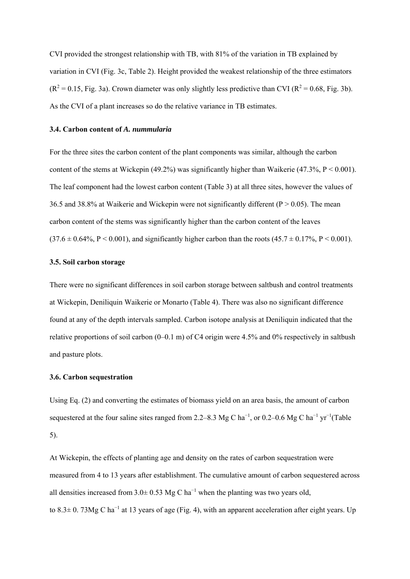CVI provided the strongest relationship with TB, with 81% of the variation in TB explained by variation in CVI (Fig. 3c, Table 2). Height provided the weakest relationship of the three estimators  $(R^2 = 0.15$ , Fig. 3a). Crown diameter was only slightly less predictive than CVI ( $R^2 = 0.68$ , Fig. 3b). As the CVI of a plant increases so do the relative variance in TB estimates.

#### **3.4. Carbon content of** *A. nummularia*

For the three sites the carbon content of the plant components was similar, although the carbon content of the stems at Wickepin (49.2%) was significantly higher than Waikerie (47.3%,  $P < 0.001$ ). The leaf component had the lowest carbon content (Table 3) at all three sites, however the values of 36.5 and 38.8% at Waikerie and Wickepin were not significantly different ( $P > 0.05$ ). The mean carbon content of the stems was significantly higher than the carbon content of the leaves  $(37.6 \pm 0.64\% \text{ P} \le 0.001)$ , and significantly higher carbon than the roots  $(45.7 \pm 0.17\% \text{ P} \le 0.001)$ .

### **3.5. Soil carbon storage**

There were no significant differences in soil carbon storage between saltbush and control treatments at Wickepin, Deniliquin Waikerie or Monarto (Table 4). There was also no significant difference found at any of the depth intervals sampled. Carbon isotope analysis at Deniliquin indicated that the relative proportions of soil carbon (0–0.1 m) of C4 origin were 4.5% and 0% respectively in saltbush and pasture plots.

#### **3.6. Carbon sequestration**

Using Eq. (2) and converting the estimates of biomass yield on an area basis, the amount of carbon sequestered at the four saline sites ranged from 2.2–8.3 Mg C ha<sup>-1</sup>, or 0.2–0.6 Mg C ha<sup>-1</sup> yr<sup>-1</sup>(Table 5).

At Wickepin, the effects of planting age and density on the rates of carbon sequestration were measured from 4 to 13 years after establishment. The cumulative amount of carbon sequestered across all densities increased from 3.0± 0.53 Mg C ha<sup>-1</sup> when the planting was two years old, to 8.3 $\pm$  0. 73Mg C ha<sup>-1</sup> at 13 years of age (Fig. 4), with an apparent acceleration after eight years. Up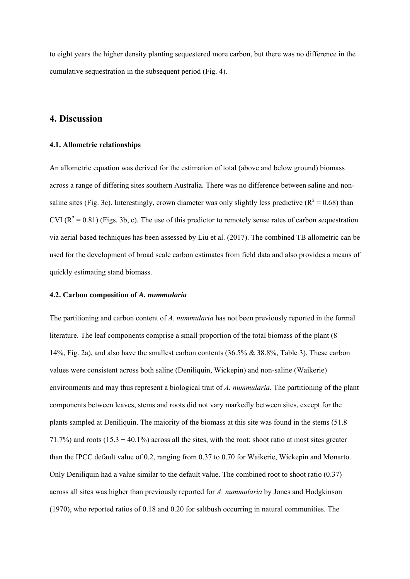to eight years the higher density planting sequestered more carbon, but there was no difference in the cumulative sequestration in the subsequent period (Fig. 4).

# **4. Discussion**

#### **4.1. Allometric relationships**

An allometric equation was derived for the estimation of total (above and below ground) biomass across a range of differing sites southern Australia. There was no difference between saline and nonsaline sites (Fig. 3c). Interestingly, crown diameter was only slightly less predictive ( $\mathbb{R}^2 = 0.68$ ) than CVI ( $\mathbb{R}^2 = 0.81$ ) (Figs. 3b, c). The use of this predictor to remotely sense rates of carbon sequestration via aerial based techniques has been assessed by Liu et al. (2017). The combined TB allometric can be used for the development of broad scale carbon estimates from field data and also provides a means of quickly estimating stand biomass.

### **4.2. Carbon composition of** *A. nummularia*

The partitioning and carbon content of *A. nummularia* has not been previously reported in the formal literature. The leaf components comprise a small proportion of the total biomass of the plant (8– 14%, Fig. 2a), and also have the smallest carbon contents (36.5% & 38.8%, Table 3). These carbon values were consistent across both saline (Deniliquin, Wickepin) and non-saline (Waikerie) environments and may thus represent a biological trait of *A. nummularia*. The partitioning of the plant components between leaves, stems and roots did not vary markedly between sites, except for the plants sampled at Deniliquin. The majority of the biomass at this site was found in the stems  $(51.8 -$ 71.7%) and roots (15.3 − 40.1%) across all the sites, with the root: shoot ratio at most sites greater than the IPCC default value of 0.2, ranging from 0.37 to 0.70 for Waikerie, Wickepin and Monarto. Only Deniliquin had a value similar to the default value. The combined root to shoot ratio (0.37) across all sites was higher than previously reported for *A. nummularia* by Jones and Hodgkinson (1970), who reported ratios of 0.18 and 0.20 for saltbush occurring in natural communities. The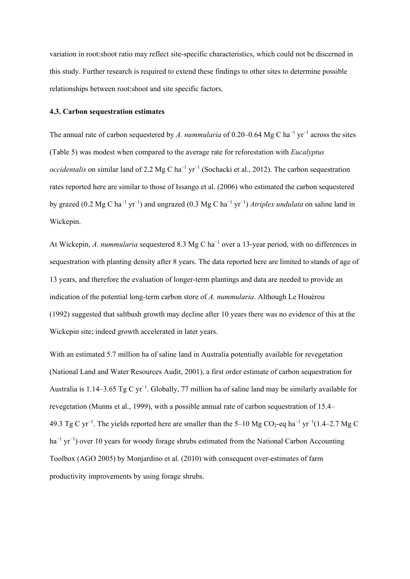variation in root:shoot ratio may reflect site-specific characteristics, which could not be discerned in this study. Further research is required to extend these findings to other sites to determine possible relationships between root:shoot and site specific factors.

### **4.3. Carbon sequestration estimates**

The annual rate of carbon sequestered by *A. nummularia* of 0.20–0.64 Mg C ha<sup>-1</sup> yr<sup>-1</sup> across the sites (Table 5) was modest when compared to the average rate for reforestation with *Eucalyptus occidentalis* on similar land of 2.2 Mg C ha<sup>-1</sup> yr<sup>-1</sup> (Sochacki et al., 2012). The carbon sequestration rates reported here are similar to those of Issango et al. (2006) who estimated the carbon sequestered by grazed (0.2 Mg C ha<sup>-1</sup> yr<sup>-1</sup>) and ungrazed (0.3 Mg C ha<sup>-1</sup> yr<sup>-1</sup>) *Atriplex undulata* on saline land in Wickepin.

At Wickepin, *A. nummularia* sequestered 8.3 Mg C ha<sup>-1</sup> over a 13-year period, with no differences in sequestration with planting density after 8 years. The data reported here are limited to stands of age of 13 years, and therefore the evaluation of longer-term plantings and data are needed to provide an indication of the potential long-term carbon store of *A. nummularia*. Although Le Houérou (1992) suggested that saltbush growth may decline after 10 years there was no evidence of this at the Wickepin site; indeed growth accelerated in later years.

With an estimated 5.7 million ha of saline land in Australia potentially available for revegetation (National Land and Water Resources Audit, 2001), a first order estimate of carbon sequestration for Australia is 1.14–3.65 Tg C yr<sup>-1</sup>. Globally, 77 million ha of saline land may be similarly available for revegetation (Munns et al., 1999), with a possible annual rate of carbon sequestration of 15.4– 49.3 Tg C yr<sup>-1</sup>. The yields reported here are smaller than the 5–10 Mg CO<sub>2</sub>-eq ha<sup>-1</sup> yr<sup>-1</sup>(1.4–2.7 Mg C ha<sup>-1</sup> yr<sup>-1</sup>) over 10 years for woody forage shrubs estimated from the National Carbon Accounting Toolbox (AGO 2005) by Monjardino et al. (2010) with consequent over-estimates of farm productivity improvements by using forage shrubs.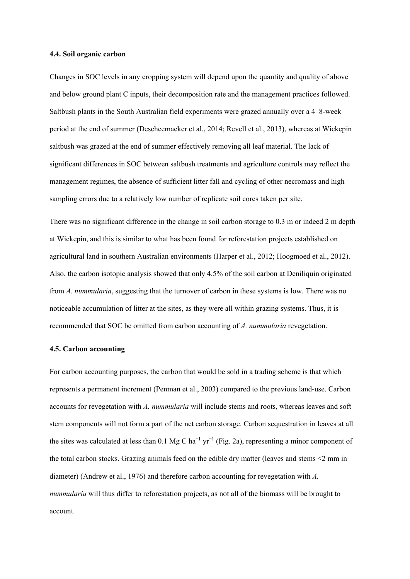### **4.4. Soil organic carbon**

Changes in SOC levels in any cropping system will depend upon the quantity and quality of above and below ground plant C inputs, their decomposition rate and the management practices followed. Saltbush plants in the South Australian field experiments were grazed annually over a 4–8-week period at the end of summer (Descheemaeker et al., 2014; Revell et al., 2013), whereas at Wickepin saltbush was grazed at the end of summer effectively removing all leaf material. The lack of significant differences in SOC between saltbush treatments and agriculture controls may reflect the management regimes, the absence of sufficient litter fall and cycling of other necromass and high sampling errors due to a relatively low number of replicate soil cores taken per site.

There was no significant difference in the change in soil carbon storage to 0.3 m or indeed 2 m depth at Wickepin, and this is similar to what has been found for reforestation projects established on agricultural land in southern Australian environments (Harper et al., 2012; Hoogmoed et al., 2012). Also, the carbon isotopic analysis showed that only 4.5% of the soil carbon at Deniliquin originated from *A. nummularia*, suggesting that the turnover of carbon in these systems is low. There was no noticeable accumulation of litter at the sites, as they were all within grazing systems. Thus, it is recommended that SOC be omitted from carbon accounting of *A. nummularia* revegetation.

#### **4.5. Carbon accounting**

For carbon accounting purposes, the carbon that would be sold in a trading scheme is that which represents a permanent increment (Penman et al., 2003) compared to the previous land-use. Carbon accounts for revegetation with *A. nummularia* will include stems and roots, whereas leaves and soft stem components will not form a part of the net carbon storage. Carbon sequestration in leaves at all the sites was calculated at less than 0.1 Mg C ha<sup>-1</sup> yr<sup>-1</sup> (Fig. 2a), representing a minor component of the total carbon stocks. Grazing animals feed on the edible dry matter (leaves and stems <2 mm in diameter) (Andrew et al., 1976) and therefore carbon accounting for revegetation with *A. nummularia* will thus differ to reforestation projects, as not all of the biomass will be brought to account.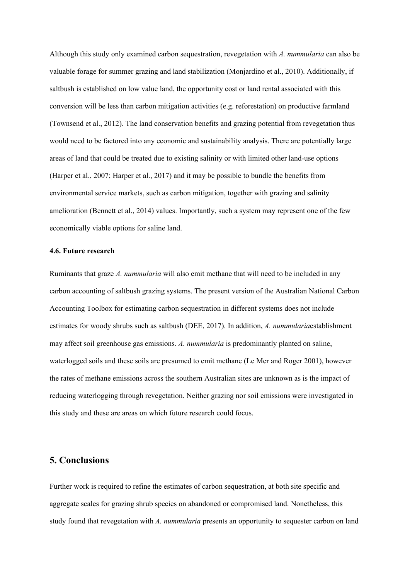Although this study only examined carbon sequestration, revegetation with *A. nummularia* can also be valuable forage for summer grazing and land stabilization (Monjardino et al., 2010). Additionally, if saltbush is established on low value land, the opportunity cost or land rental associated with this conversion will be less than carbon mitigation activities (e.g. reforestation) on productive farmland (Townsend et al., 2012). The land conservation benefits and grazing potential from revegetation thus would need to be factored into any economic and sustainability analysis. There are potentially large areas of land that could be treated due to existing salinity or with limited other land-use options (Harper et al., 2007; Harper et al., 2017) and it may be possible to bundle the benefits from environmental service markets, such as carbon mitigation, together with grazing and salinity amelioration (Bennett et al., 2014) values. Importantly, such a system may represent one of the few economically viable options for saline land.

#### **4.6. Future research**

Ruminants that graze *A. nummularia* will also emit methane that will need to be included in any carbon accounting of saltbush grazing systems. The present version of the Australian National Carbon Accounting Toolbox for estimating carbon sequestration in different systems does not include estimates for woody shrubs such as saltbush (DEE, 2017). In addition, *A. nummularia*establishment may affect soil greenhouse gas emissions. *A. nummularia* is predominantly planted on saline, waterlogged soils and these soils are presumed to emit methane (Le Mer and Roger 2001), however the rates of methane emissions across the southern Australian sites are unknown as is the impact of reducing waterlogging through revegetation. Neither grazing nor soil emissions were investigated in this study and these are areas on which future research could focus.

# **5. Conclusions**

Further work is required to refine the estimates of carbon sequestration, at both site specific and aggregate scales for grazing shrub species on abandoned or compromised land. Nonetheless, this study found that revegetation with *A. nummularia* presents an opportunity to sequester carbon on land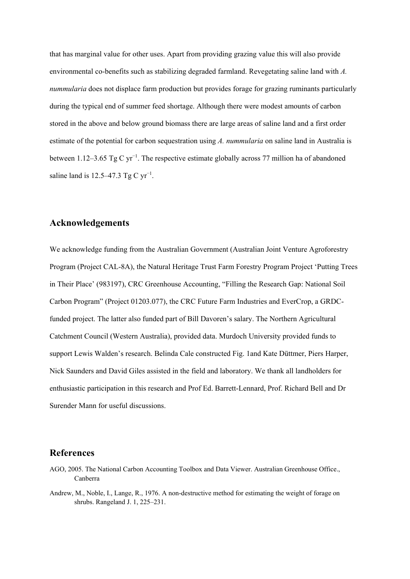that has marginal value for other uses. Apart from providing grazing value this will also provide environmental co-benefits such as stabilizing degraded farmland. Revegetating saline land with *A. nummularia* does not displace farm production but provides forage for grazing ruminants particularly during the typical end of summer feed shortage. Although there were modest amounts of carbon stored in the above and below ground biomass there are large areas of saline land and a first order estimate of the potential for carbon sequestration using *A. nummularia* on saline land in Australia is between 1.12–3.65 Tg C yr<sup>-1</sup>. The respective estimate globally across 77 million ha of abandoned saline land is 12.5–47.3 Tg C  $yr^{-1}$ .

# **Acknowledgements**

We acknowledge funding from the Australian Government (Australian Joint Venture Agroforestry Program (Project CAL-8A), the Natural Heritage Trust Farm Forestry Program Project 'Putting Trees in Their Place' (983197), CRC Greenhouse Accounting, "Filling the Research Gap: National Soil Carbon Program" (Project 01203.077), the CRC Future Farm Industries and EverCrop, a GRDCfunded project. The latter also funded part of Bill Davoren's salary. The Northern Agricultural Catchment Council (Western Australia), provided data. Murdoch University provided funds to support Lewis Walden's research. Belinda Cale constructed Fig. 1and Kate Düttmer, Piers Harper, Nick Saunders and David Giles assisted in the field and laboratory. We thank all landholders for enthusiastic participation in this research and Prof Ed. Barrett-Lennard, Prof. Richard Bell and Dr Surender Mann for useful discussions.

# **References**

- AGO, 2005. The National Carbon Accounting Toolbox and Data Viewer. Australian Greenhouse Office., Canberra
- Andrew, M., Noble, I., Lange, R., 1976. A non-destructive method for estimating the weight of forage on shrubs. Rangeland J. 1, 225–231.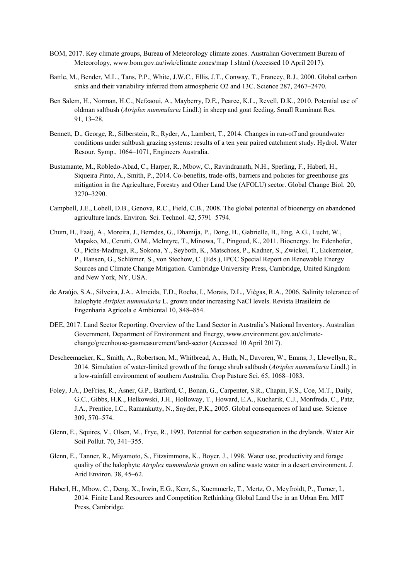- BOM, 2017. Key climate groups, Bureau of Meteorology climate zones. Australian Government Bureau of Meteorology, www.bom.gov.au/iwk/climate zones/map 1.shtml (Accessed 10 April 2017).
- Battle, M., Bender, M.L., Tans, P.P., White, J.W.C., Ellis, J.T., Conway, T., Francey, R.J., 2000. Global carbon sinks and their variability inferred from atmospheric O2 and 13C. Science 287, 2467–2470.
- Ben Salem, H., Norman, H.C., Nefzaoui, A., Mayberry, D.E., Pearce, K.L., Revell, D.K., 2010. Potential use of oldman saltbush (*Atriplex nummularia* Lindl.) in sheep and goat feeding. Small Ruminant Res. 91, 13–28.
- Bennett, D., George, R., Silberstein, R., Ryder, A., Lambert, T., 2014. Changes in run-off and groundwater conditions under saltbush grazing systems: results of a ten year paired catchment study. Hydrol. Water Resour. Symp., 1064–1071, Engineers Australia.
- Bustamante, M., Robledo-Abad, C., Harper, R., Mbow, C., Ravindranath, N.H., Sperling, F., Haberl, H., Siqueira Pinto, A., Smith, P., 2014. Co-benefits, trade-offs, barriers and policies for greenhouse gas mitigation in the Agriculture, Forestry and Other Land Use (AFOLU) sector. Global Change Biol. 20, 3270–3290.
- Campbell, J.E., Lobell, D.B., Genova, R.C., Field, C.B., 2008. The global potential of bioenergy on abandoned agriculture lands. Environ. Sci. Technol. 42, 5791–5794.
- Chum, H., Faaij, A., Moreira, J., Berndes, G., Dhamija, P., Dong, H., Gabrielle, B., Eng, A.G., Lucht, W., Mapako, M., Cerutti, O.M., McIntyre, T., Minowa, T., Pingoud, K., 2011. Bioenergy. In: Edenhofer, O., Pichs-Madruga, R., Sokona, Y., Seyboth, K., Matschoss, P., Kadner, S., Zwickel, T., Eickemeier, P., Hansen, G., Schlömer, S., von Stechow, C. (Eds.), IPCC Special Report on Renewable Energy Sources and Climate Change Mitigation. Cambridge University Press, Cambridge, United Kingdom and New York, NY, USA.
- de Araújo, S.A., Silveira, J.A., Almeida, T.D., Rocha, I., Morais, D.L., Viégas, R.A., 2006. Salinity tolerance of halophyte *Atriplex nummularia* L. grown under increasing NaCl levels. Revista Brasileira de Engenharia Agrícola e Ambiental 10, 848–854.
- DEE, 2017. Land Sector Reporting. Overview of the Land Sector in Australia's National Inventory. Australian Government, Department of Environment and Energy, www.environment.gov.au/climate change/greenhouse-gasmeasurement/land-sector (Accessed 10 April 2017).
- Descheemaeker, K., Smith, A., Robertson, M., Whitbread, A., Huth, N., Davoren, W., Emms, J., Llewellyn, R., 2014. Simulation of water-limited growth of the forage shrub saltbush (*Atriplex nummularia* Lindl.) in a low-rainfall environment of southern Australia. Crop Pasture Sci. 65, 1068–1083.
- Foley, J.A., DeFries, R., Asner, G.P., Barford, C., Bonan, G., Carpenter, S.R., Chapin, F.S., Coe, M.T., Daily, G.C., Gibbs, H.K., Helkowski, J.H., Holloway, T., Howard, E.A., Kucharik, C.J., Monfreda, C., Patz, J.A., Prentice, I.C., Ramankutty, N., Snyder, P.K., 2005. Global consequences of land use. Science 309, 570–574.
- Glenn, E., Squires, V., Olsen, M., Frye, R., 1993. Potential for carbon sequestration in the drylands. Water Air Soil Pollut. 70, 341–355.
- Glenn, E., Tanner, R., Miyamoto, S., Fitzsimmons, K., Boyer, J., 1998. Water use, productivity and forage quality of the halophyte *Atriplex nummularia* grown on saline waste water in a desert environment. J. Arid Environ. 38, 45–62.
- Haberl, H., Mbow, C., Deng, X., Irwin, E.G., Kerr, S., Kuemmerle, T., Mertz, O., Meyfroidt, P., Turner, I., 2014. Finite Land Resources and Competition Rethinking Global Land Use in an Urban Era. MIT Press, Cambridge.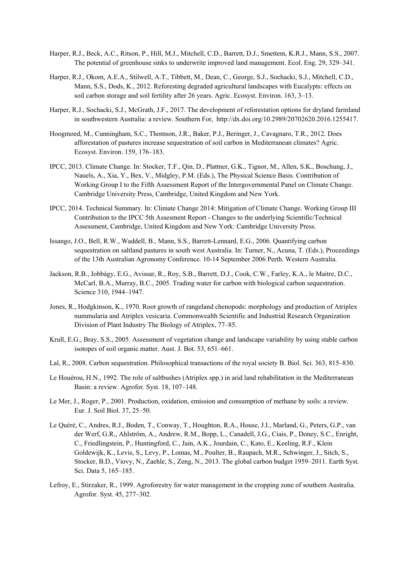- Harper, R.J., Beck, A.C., Ritson, P., Hill, M.J., Mitchell, C.D., Barrett, D.J., Smettem, K.R.J., Mann, S.S., 2007. The potential of greenhouse sinks to underwrite improved land management. Ecol. Eng. 29, 329–341.
- Harper, R.J., Okom, A.E.A., Stilwell, A.T., Tibbett, M., Dean, C., George, S.J., Sochacki, S.J., Mitchell, C.D., Mann, S.S., Dods, K., 2012. Reforesting degraded agricultural landscapes with Eucalypts: effects on soil carbon storage and soil fertility after 26 years. Agric. Ecosyst. Environ. 163, 3–13.
- Harper, R.J., Sochacki, S.J., McGrath, J.F., 2017. The development of reforestation options for dryland farmland in southwestern Australia: a review. Southern For, http://dx.doi.org/10.2989/20702620.2016.1255417.
- Hoogmoed, M., Cunningham, S.C., Thomson, J.R., Baker, P.J., Beringer, J., Cavagnaro, T.R., 2012. Does afforestation of pastures increase sequestration of soil carbon in Mediterranean climates? Agric. Ecosyst. Environ. 159, 176–183.
- IPCC, 2013. Climate Change. In: Stocker, T.F., Qin, D., Plattner, G.K., Tignor, M., Allen, S.K., Boschung, J., Nauels, A., Xia, Y., Bex, V., Midgley, P.M. (Eds.), The Physical Science Basis. Contribution of Working Group I to the Fifth Assessment Report of the Intergovernmental Panel on Climate Change. Cambridge University Press, Cambridge, United Kingdom and New York.
- IPCC, 2014. Technical Summary. In: Climate Change 2014: Mitigation of Climate Change. Working Group III Contribution to the IPCC 5th Assesment Report - Changes to the underlying Scientific/Technical Assessment, Cambridge, United Kingdom and New York: Cambridge University Press.
- Issango, J.O., Bell, R.W., Waddell, B., Mann, S.S., Barrett-Lennard, E.G., 2006. Quantifying carbon sequestration on saltland pastures in south west Australia. In: Turner, N., Acuna, T. (Eds.), Proceedings of the 13th Australian Agronomy Conference. 10-14 September 2006 Perth. Western Australia.
- Jackson, R.B., Jobbágy, E.G., Avissar, R., Roy, S.B., Barrett, D.J., Cook, C.W., Farley, K.A., le Maitre, D.C., McCarl, B.A., Murray, B.C., 2005. Trading water for carbon with biological carbon sequestration. Science 310, 1944–1947.
- Jones, R., Hodgkinson, K., 1970. Root growth of rangeland chenopods: morphology and production of Atriplex nummularia and Atriplex vesicaria. Commonwealth Scientific and Industrial Research Organization Division of Plant Industry The Biology of Atriplex, 77–85.
- Krull, E.G., Bray, S.S., 2005. Assessment of vegetation change and landscape variability by using stable carbon isotopes of soil organic matter. Aust. J. Bot. 53, 651–661.
- Lal, R., 2008. Carbon sequestration. Philosophical transactions of the royal society B. Biol. Sci. 363, 815–830.
- Le Houérou, H.N., 1992. The role of saltbushes (Atriplex spp.) in arid land rehabilitation in the Mediterranean Basin: a review. Agrofor. Syst. 18, 107–148.
- Le Mer, J., Roger, P., 2001. Production, oxidation, emission and consumption of methane by soils: a review. Eur. J. Soil Biol. 37, 25–50.
- Le Quéré, C., Andres, R.J., Boden, T., Conway, T., Houghton, R.A., House, J.I., Marland, G., Peters, G.P., van der Werf, G.R., Ahlström, A., Andrew, R.M., Bopp, L., Canadell, J.G., Ciais, P., Doney, S.C., Enright, C., Friedlingstein, P., Huntingford, C., Jain, A.K., Jourdain, C., Kato, E., Keeling, R.F., Klein Goldewijk, K., Levis, S., Levy, P., Lomas, M., Poulter, B., Raupach, M.R., Schwinger, J., Sitch, S., Stocker, B.D., Viovy, N., Zaehle, S., Zeng, N., 2013. The global carbon budget 1959–2011. Earth Syst. Sci. Data 5, 165–185.
- Lefroy, E., Stirzaker, R., 1999. Agroforestry for water management in the cropping zone of southern Australia. Agrofor. Syst. 45, 277–302.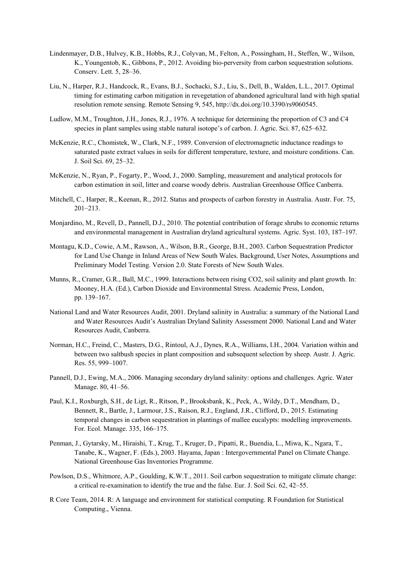- Lindenmayer, D.B., Hulvey, K.B., Hobbs, R.J., Colyvan, M., Felton, A., Possingham, H., Steffen, W., Wilson, K., Youngentob, K., Gibbons, P., 2012. Avoiding bio-perversity from carbon sequestration solutions. Conserv. Lett. 5, 28–36.
- Liu, N., Harper, R.J., Handcock, R., Evans, B.J., Sochacki, S.J., Liu, S., Dell, B., Walden, L.L., 2017. Optimal timing for estimating carbon mitigation in revegetation of abandoned agricultural land with high spatial resolution remote sensing. Remote Sensing 9, 545, http://dx.doi.org/10.3390/rs9060545.
- Ludlow, M.M., Troughton, J.H., Jones, R.J., 1976. A technique for determining the proportion of C3 and C4 species in plant samples using stable natural isotope's of carbon. J. Agric. Sci. 87, 625–632.
- McKenzie, R.C., Chomistek, W., Clark, N.F., 1989. Conversion of electromagnetic inductance readings to saturated paste extract values in soils for different temperature, texture, and moisture conditions. Can. J. Soil Sci. 69, 25–32.
- McKenzie, N., Ryan, P., Fogarty, P., Wood, J., 2000. Sampling, measurement and analytical protocols for carbon estimation in soil, litter and coarse woody debris. Australian Greenhouse Office Canberra.
- Mitchell, C., Harper, R., Keenan, R., 2012. Status and prospects of carbon forestry in Australia. Austr. For. 75, 201–213.
- Monjardino, M., Revell, D., Pannell, D.J., 2010. The potential contribution of forage shrubs to economic returns and environmental management in Australian dryland agricultural systems. Agric. Syst. 103, 187–197.
- Montagu, K.D., Cowie, A.M., Rawson, A., Wilson, B.R., George, B.H., 2003. Carbon Sequestration Predictor for Land Use Change in Inland Areas of New South Wales. Background, User Notes, Assumptions and Preliminary Model Testing. Version 2.0. State Forests of New South Wales.
- Munns, R., Cramer, G.R., Ball, M.C., 1999. Interactions between rising CO2, soil salinity and plant growth. In: Mooney, H.A. (Ed.), Carbon Dioxide and Environmental Stress. Academic Press, London, pp. 139–167.
- National Land and Water Resources Audit, 2001. Dryland salinity in Australia: a summary of the National Land and Water Resources Audit's Australian Dryland Salinity Assessment 2000. National Land and Water Resources Audit, Canberra.
- Norman, H.C., Freind, C., Masters, D.G., Rintoul, A.J., Dynes, R.A., Williams, I.H., 2004. Variation within and between two saltbush species in plant composition and subsequent selection by sheep. Austr. J. Agric. Res. 55, 999–1007.
- Pannell, D.J., Ewing, M.A., 2006. Managing secondary dryland salinity: options and challenges. Agric. Water Manage. 80, 41–56.
- Paul, K.I., Roxburgh, S.H., de Ligt, R., Ritson, P., Brooksbank, K., Peck, A., Wildy, D.T., Mendham, D., Bennett, R., Bartle, J., Larmour, J.S., Raison, R.J., England, J.R., Clifford, D., 2015. Estimating temporal changes in carbon sequestration in plantings of mallee eucalypts: modelling improvements. For. Ecol. Manage. 335, 166–175.
- Penman, J., Gytarsky, M., Hiraishi, T., Krug, T., Kruger, D., Pipatti, R., Buendia, L., Miwa, K., Ngara, T., Tanabe, K., Wagner, F. (Eds.), 2003. Hayama, Japan : Intergovernmental Panel on Climate Change. National Greenhouse Gas Inventories Programme.
- Powlson, D.S., Whitmore, A.P., Goulding, K.W.T., 2011. Soil carbon sequestration to mitigate climate change: a critical re-examination to identify the true and the false. Eur. J. Soil Sci. 62, 42–55.
- R Core Team, 2014. R: A language and environment for statistical computing. R Foundation for Statistical Computing., Vienna.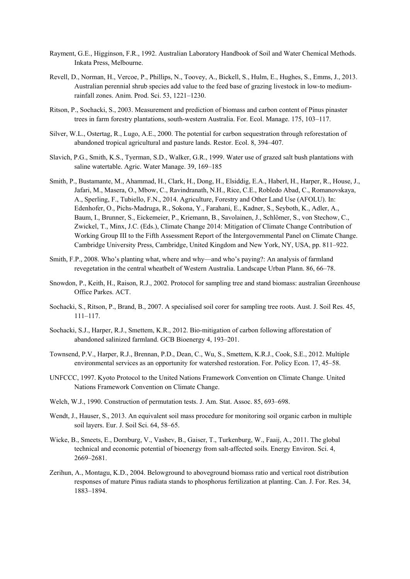- Rayment, G.E., Higginson, F.R., 1992. Australian Laboratory Handbook of Soil and Water Chemical Methods. Inkata Press, Melbourne.
- Revell, D., Norman, H., Vercoe, P., Phillips, N., Toovey, A., Bickell, S., Hulm, E., Hughes, S., Emms, J., 2013. Australian perennial shrub species add value to the feed base of grazing livestock in low-to medium rainfall zones. Anim. Prod. Sci. 53, 1221–1230.
- Ritson, P., Sochacki, S., 2003. Measurement and prediction of biomass and carbon content of Pinus pinaster trees in farm forestry plantations, south-western Australia. For. Ecol. Manage. 175, 103–117.
- Silver, W.L., Ostertag, R., Lugo, A.E., 2000. The potential for carbon sequestration through reforestation of abandoned tropical agricultural and pasture lands. Restor. Ecol. 8, 394–407.
- Slavich, P.G., Smith, K.S., Tyerman, S.D., Walker, G.R., 1999. Water use of grazed salt bush plantations with saline watertable. Agric. Water Manage. 39, 169–185
- Smith, P., Bustamante, M., Ahammad, H., Clark, H., Dong, H., Elsiddig, E.A., Haberl, H., Harper, R., House, J., Jafari, M., Masera, O., Mbow, C., Ravindranath, N.H., Rice, C.E., Robledo Abad, C., Romanovskaya, A., Sperling, F., Tubiello, F.N., 2014. Agriculture, Forestry and Other Land Use (AFOLU). In: Edenhofer, O., Pichs-Madruga, R., Sokona, Y., Farahani, E., Kadner, S., Seyboth, K., Adler, A., Baum, I., Brunner, S., Eickemeier, P., Kriemann, B., Savolainen, J., Schlömer, S., von Stechow, C., Zwickel, T., Minx, J.C. (Eds.), Climate Change 2014: Mitigation of Climate Change Contribution of Working Group III to the Fifth Assessment Report of the Intergovernmental Panel on Climate Change. Cambridge University Press, Cambridge, United Kingdom and New York, NY, USA, pp. 811–922.
- Smith, F.P., 2008. Who's planting what, where and why—and who's paying?: An analysis of farmland revegetation in the central wheatbelt of Western Australia. Landscape Urban Plann. 86, 66–78.
- Snowdon, P., Keith, H., Raison, R.J., 2002. Protocol for sampling tree and stand biomass: australian Greenhouse Office Parkes. ACT.
- Sochacki, S., Ritson, P., Brand, B., 2007. A specialised soil corer for sampling tree roots. Aust. J. Soil Res. 45, 111–117.
- Sochacki, S.J., Harper, R.J., Smettem, K.R., 2012. Bio-mitigation of carbon following afforestation of abandoned salinized farmland. GCB Bioenergy 4, 193–201.
- Townsend, P.V., Harper, R.J., Brennan, P.D., Dean, C., Wu, S., Smettem, K.R.J., Cook, S.E., 2012. Multiple environmental services as an opportunity for watershed restoration. For. Policy Econ. 17, 45–58.
- UNFCCC, 1997. Kyoto Protocol to the United Nations Framework Convention on Climate Change. United Nations Framework Convention on Climate Change.
- Welch, W.J., 1990. Construction of permutation tests. J. Am. Stat. Assoc. 85, 693–698.
- Wendt, J., Hauser, S., 2013. An equivalent soil mass procedure for monitoring soil organic carbon in multiple soil layers. Eur. J. Soil Sci. 64, 58–65.
- Wicke, B., Smeets, E., Dornburg, V., Vashev, B., Gaiser, T., Turkenburg, W., Faaij, A., 2011. The global technical and economic potential of bioenergy from salt-affected soils. Energy Environ. Sci. 4, 2669–2681.
- Zerihun, A., Montagu, K.D., 2004. Belowground to aboveground biomass ratio and vertical root distribution responses of mature Pinus radiata stands to phosphorus fertilization at planting. Can. J. For. Res. 34, 1883–1894.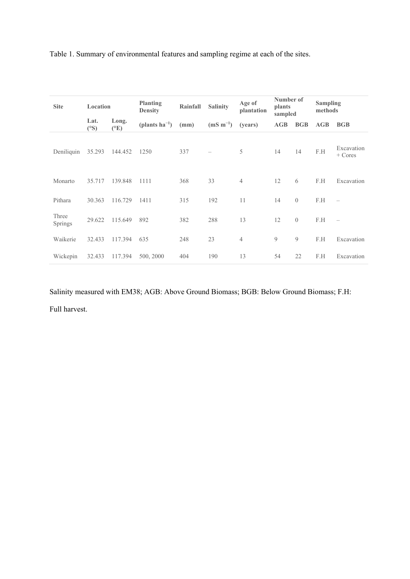| <b>Site</b>      | Location    |                          | <b>Planting</b><br><b>Density</b> | Rainfall | <b>Salinity</b> | Age of<br>plantation | Number of<br>plants<br>sampled |                | <b>Sampling</b><br>methods |                          |
|------------------|-------------|--------------------------|-----------------------------------|----------|-----------------|----------------------|--------------------------------|----------------|----------------------------|--------------------------|
|                  | Lat.<br>(S) | Long.<br>$({}^{\circ}E)$ | (plants $ha^{-1}$ )               | (mm)     | $(mS m^{-1})$   | (years)              | AGB                            | <b>BGB</b>     | AGB                        | <b>BGB</b>               |
| Deniliquin       | 35.293      | 144.452                  | 1250                              | 337      |                 | 5                    | 14                             | 14             | F.H                        | Excavation<br>$+$ Cores  |
| Monarto          | 35.717      | 139.848                  | 1111                              | 368      | 33              | 4                    | 12                             | 6              | F.H                        | Excavation               |
| Pithara          | 30.363      | 116.729                  | 1411                              | 315      | 192             | 11                   | 14                             | $\overline{0}$ | F.H                        |                          |
| Three<br>Springs | 29.622      | 115.649                  | 892                               | 382      | 288             | 13                   | 12                             | $\theta$       | F.H                        | $\overline{\phantom{0}}$ |
| Waikerie         | 32.433      | 117.394                  | 635                               | 248      | 23              | $\overline{4}$       | 9                              | 9              | F.H                        | Excavation               |
| Wickepin         | 32.433      | 117.394                  | 500, 2000                         | 404      | 190             | 13                   | 54                             | 22             | F.H                        | Excavation               |

Table 1. Summary of environmental features and sampling regime at each of the sites.

Salinity measured with EM38; AGB: Above Ground Biomass; BGB: Below Ground Biomass; F.H: Full harvest.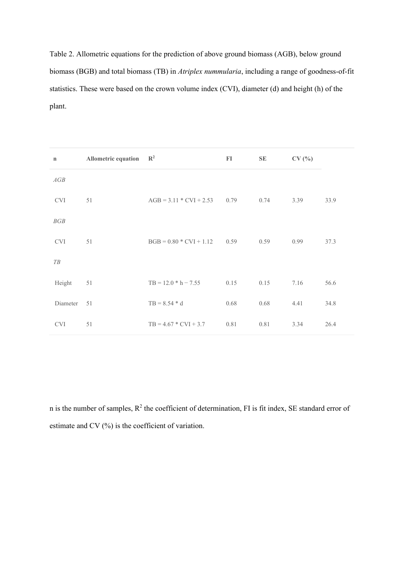Table 2. Allometric equations for the prediction of above ground biomass (AGB), below ground biomass (BGB) and total biomass (TB) in *Atriplex nummularia*, including a range of goodness-of-fit statistics. These were based on the crown volume index (CVI), diameter (d) and height (h) of the plant.

| $\mathbf n$                 | Allometric equation | $\mathbb{R}^2$                 | FI   | SE   | CV(%) |      |
|-----------------------------|---------------------|--------------------------------|------|------|-------|------|
| AGB                         |                     |                                |      |      |       |      |
| $\ensuremath{\mathrm{CVI}}$ | 51                  | $AGB = 3.11 * CVI + 2.53$ 0.79 |      | 0.74 | 3.39  | 33.9 |
| BGB                         |                     |                                |      |      |       |      |
| <b>CVI</b>                  | 51                  | $BGB = 0.80 * CVI + 1.12$ 0.59 |      | 0.59 | 0.99  | 37.3 |
| T B                         |                     |                                |      |      |       |      |
| Height                      | 51                  | $TB = 12.0 * h - 7.55$         | 0.15 | 0.15 | 7.16  | 56.6 |
| Diameter                    | 51                  | $TB = 8.54 * d$                | 0.68 | 0.68 | 4.41  | 34.8 |
| <b>CVI</b>                  | 51                  | $TB = 4.67 * CVI + 3.7$        | 0.81 | 0.81 | 3.34  | 26.4 |

n is the number of samples,  $R^2$  the coefficient of determination, FI is fit index, SE standard error of estimate and CV (%) is the coefficient of variation.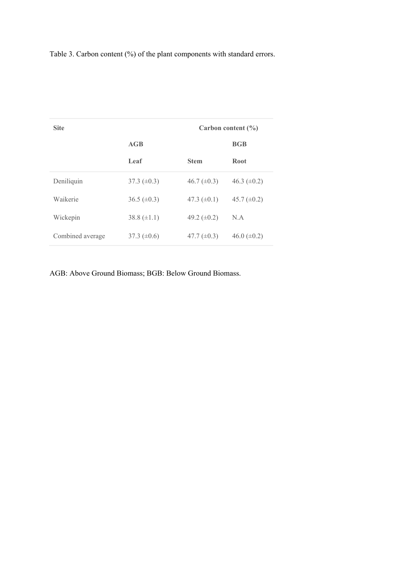Table 3. Carbon content (%) of the plant components with standard errors.

| <b>Site</b>      | Carbon content $(\% )$ |                    |                    |  |  |
|------------------|------------------------|--------------------|--------------------|--|--|
|                  | AGB                    |                    | <b>BGB</b>         |  |  |
|                  | Leaf                   | <b>Stem</b>        | <b>Root</b>        |  |  |
| Deniliquin       | $37.3 \ (\pm 0.3)$     | $46.7 \ (\pm 0.3)$ | 46.3 $(\pm 0.2)$   |  |  |
| Waikerie         | $36.5 \ (\pm 0.3)$     | 47.3 $(\pm 0.1)$   | 45.7 $(\pm 0.2)$   |  |  |
| Wickepin         | 38.8 $(\pm 1.1)$       | 49.2 $(\pm 0.2)$   | N.A                |  |  |
| Combined average | 37.3 $(\pm 0.6)$       | 47.7 $(\pm 0.3)$   | $46.0 \ (\pm 0.2)$ |  |  |

AGB: Above Ground Biomass; BGB: Below Ground Biomass.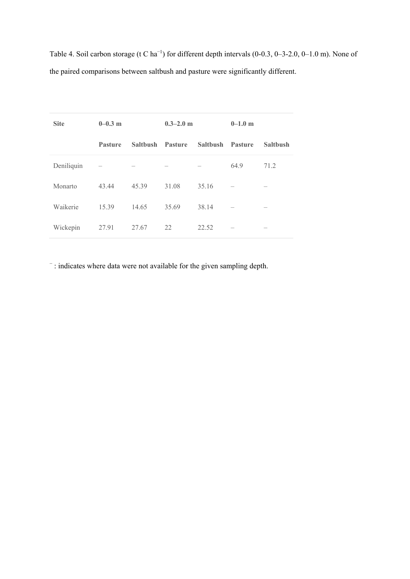Table 4. Soil carbon storage (t C ha<sup>-1</sup>) for different depth intervals (0-0.3, 0-3-2.0, 0-1.0 m). None of the paired comparisons between saltbush and pasture were significantly different.

| <b>Site</b> | $0 - 0.3$ m    |                 | $0.3 - 2.0$ m |                 | $0 - 1.0$ m |                 |
|-------------|----------------|-----------------|---------------|-----------------|-------------|-----------------|
|             | <b>Pasture</b> | <b>Salthush</b> | Pasture       | <b>Salthush</b> | Pasture     | <b>Saltbush</b> |
| Deniliquin  |                |                 |               |                 | 64.9        | 71.2            |
| Monarto     | 43.44          | 45.39           | 31.08         | 35.16           |             |                 |
| Waikerie    | 15.39          | 14.65           | 35.69         | 38.14           |             |                 |
| Wickepin    | 27.91          | 27.67           | 22            | 22.52           |             |                 |

− : indicates where data were not available for the given sampling depth.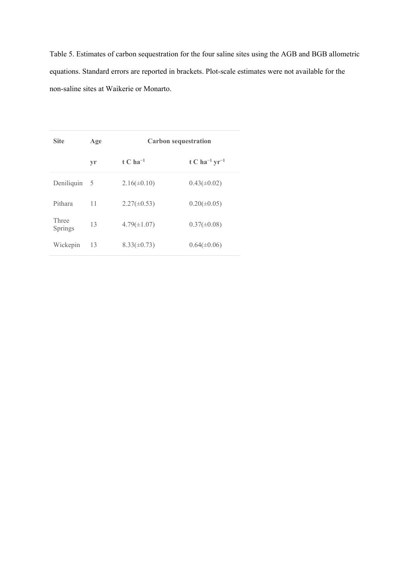Table 5. Estimates of carbon sequestration for the four saline sites using the AGB and BGB allometric equations. Standard errors are reported in brackets. Plot-scale estimates were not available for the non-saline sites at Waikerie or Monarto.

| <b>Site</b>      | Age | <b>Carbon sequestration</b> |                                       |  |  |
|------------------|-----|-----------------------------|---------------------------------------|--|--|
|                  | vr  | t C ha <sup>-1</sup>        | t C ha <sup>-1</sup> yr <sup>-1</sup> |  |  |
| Deniliquin       | - 5 | $2.16(\pm 0.10)$            | $0.43(\pm 0.02)$                      |  |  |
| Pithara          | 11  | $2.27(\pm 0.53)$            | $0.20(\pm 0.05)$                      |  |  |
| Three<br>Springs | 13  | $4.79(\pm1.07)$             | $0.37(\pm 0.08)$                      |  |  |
| Wickepin         | 13  | $8.33(\pm 0.73)$            | $0.64(\pm 0.06)$                      |  |  |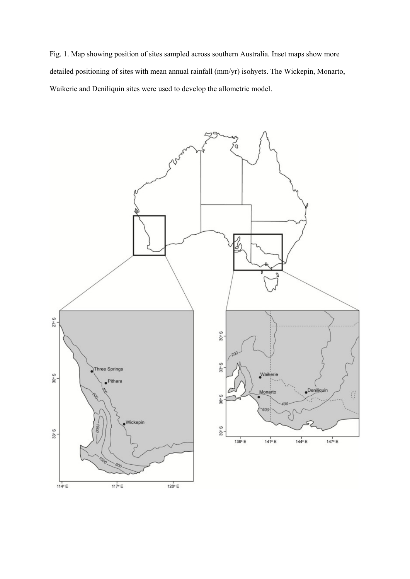Fig. 1. Map showing position of sites sampled across southern Australia. Inset maps show more detailed positioning of sites with mean annual rainfall (mm/yr) isohyets. The Wickepin, Monarto, Waikerie and Deniliquin sites were used to develop the allometric model.

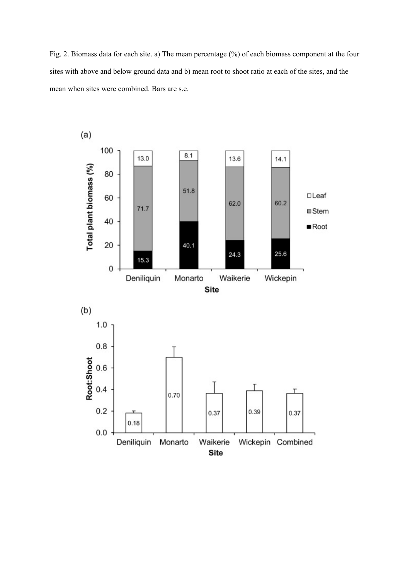Fig. 2. Biomass data for each site. a) The mean percentage (%) of each biomass component at the four sites with above and below ground data and b) mean root to shoot ratio at each of the sites, and the mean when sites were combined. Bars are s.e.

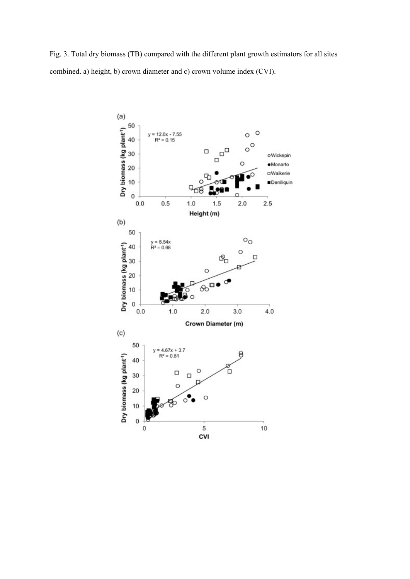Fig. 3. Total dry biomass (TB) compared with the different plant growth estimators for all sites combined. a) height, b) crown diameter and c) crown volume index (CVI).